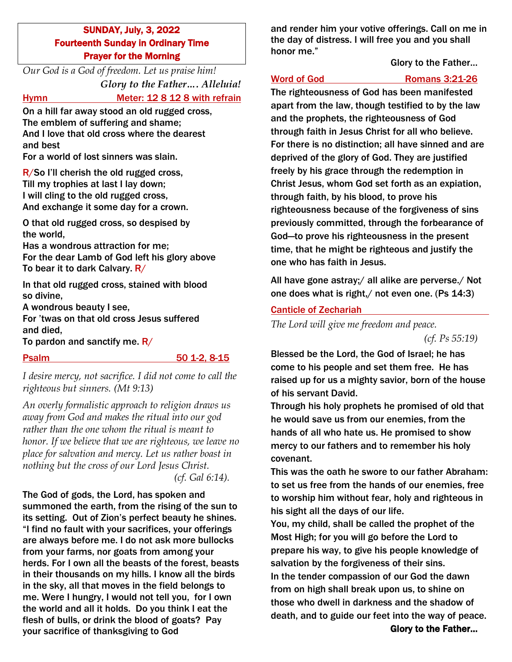SUNDAY, July, 3, 2022 Fourteenth Sunday in Ordinary Time Prayer for the Morning

*Our God is a God of freedom. Let us praise him! Glory to the Father…. Alleluia!*

Hymn Meter: 12 8 12 8 with refrain

On a hill far away stood an old rugged cross, The emblem of suffering and shame; And I love that old cross where the dearest and best

For a world of lost sinners was slain.

R/So I'll cherish the old rugged cross, Till my trophies at last I lay down; I will cling to the old rugged cross, And exchange it some day for a crown.

O that old rugged cross, so despised by the world,

Has a wondrous attraction for me; For the dear Lamb of God left his glory above To bear it to dark Calvary. R/

In that old rugged cross, stained with blood so divine,

A wondrous beauty I see,

For 'twas on that old cross Jesus suffered and died,

To pardon and sanctify me.  $R/$ 

Psalm 50 1-2, 8-15

*I desire mercy, not sacrifice. I did not come to call the righteous but sinners. (Mt 9:13)*

*An overly formalistic approach to religion draws us away from God and makes the ritual into our god rather than the one whom the ritual is meant to honor. If we believe that we are righteous, we leave no place for salvation and mercy. Let us rather boast in nothing but the cross of our Lord Jesus Christ. (cf. Gal 6:14).*

The God of gods, the Lord, has spoken and summoned the earth, from the rising of the sun to its setting. Out of Zion's perfect beauty he shines. "I find no fault with your sacrifices, your offerings are always before me. I do not ask more bullocks from your farms, nor goats from among your herds. For I own all the beasts of the forest, beasts in their thousands on my hills. I know all the birds in the sky, all that moves in the field belongs to me. Were I hungry, I would not tell you, for I own the world and all it holds. Do you think I eat the flesh of bulls, or drink the blood of goats? Pay your sacrifice of thanksgiving to God

and render him your votive offerings. Call on me in the day of distress. I will free you and you shall honor me."

# Glory to the Father…

# Word of God Romans 3:21-26

The righteousness of God has been manifested apart from the law, though testified to by the law and the prophets, the righteousness of God through faith in Jesus Christ for all who believe. For there is no distinction; all have sinned and are deprived of the glory of God. They are justified freely by his grace through the redemption in Christ Jesus, whom God set forth as an expiation, through faith, by his blood, to prove his righteousness because of the forgiveness of sins previously committed, through the forbearance of God—to prove his righteousness in the present time, that he might be righteous and justify the one who has faith in Jesus.

All have gone astray;/ all alike are perverse./ Not one does what is right,/ not even one. (Ps 14:3)

# Canticle of Zechariah

*The Lord will give me freedom and peace. (cf. Ps 55:19)*

Blessed be the Lord, the God of Israel; he has come to his people and set them free. He has raised up for us a mighty savior, born of the house of his servant David.

Through his holy prophets he promised of old that he would save us from our enemies, from the hands of all who hate us. He promised to show mercy to our fathers and to remember his holy covenant.

This was the oath he swore to our father Abraham: to set us free from the hands of our enemies, free to worship him without fear, holy and righteous in his sight all the days of our life.

You, my child, shall be called the prophet of the Most High; for you will go before the Lord to prepare his way, to give his people knowledge of salvation by the forgiveness of their sins. In the tender compassion of our God the dawn from on high shall break upon us, to shine on those who dwell in darkness and the shadow of death, and to guide our feet into the way of peace.